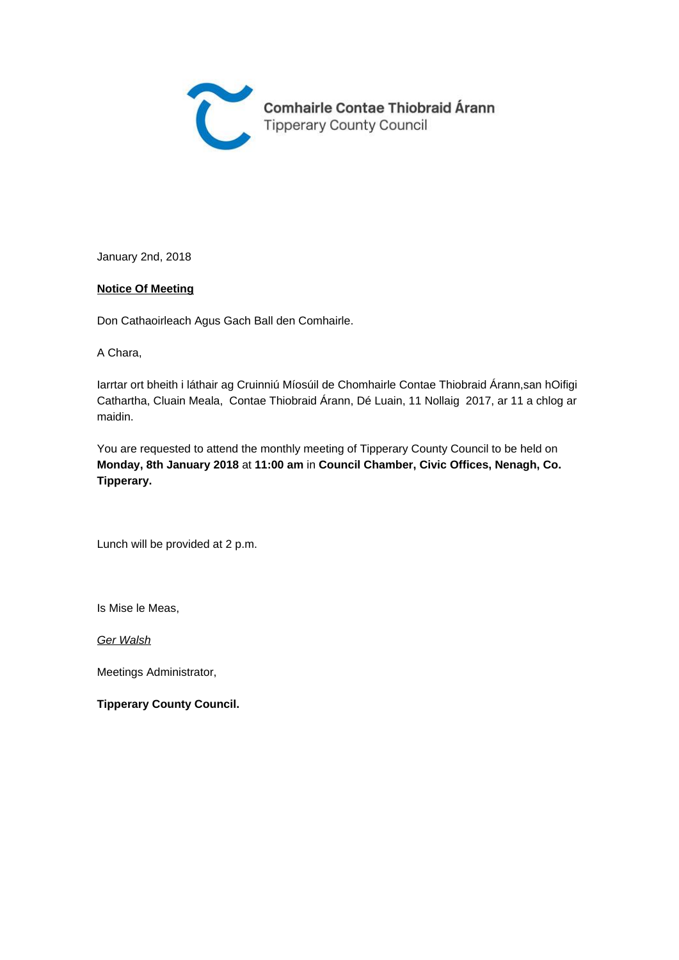

January 2nd, 2018

#### **Notice Of Meeting**

Don Cathaoirleach Agus Gach Ball den Comhairle.

A Chara,

Iarrtar ort bheith i láthair ag Cruinniú Míosúil de Chomhairle Contae Thiobraid Árann,san hOifigi Cathartha, Cluain Meala, Contae Thiobraid Árann, Dé Luain, 11 Nollaig 2017, ar 11 a chlog ar maidin.

You are requested to attend the monthly meeting of Tipperary County Council to be held on **Monday, 8th January 2018** at **11:00 am** in **Council Chamber, Civic Offices, Nenagh, Co. Tipperary.** 

Lunch will be provided at 2 p.m.

Is Mise le Meas,

Ger Walsh

Meetings Administrator,

**Tipperary County Council.**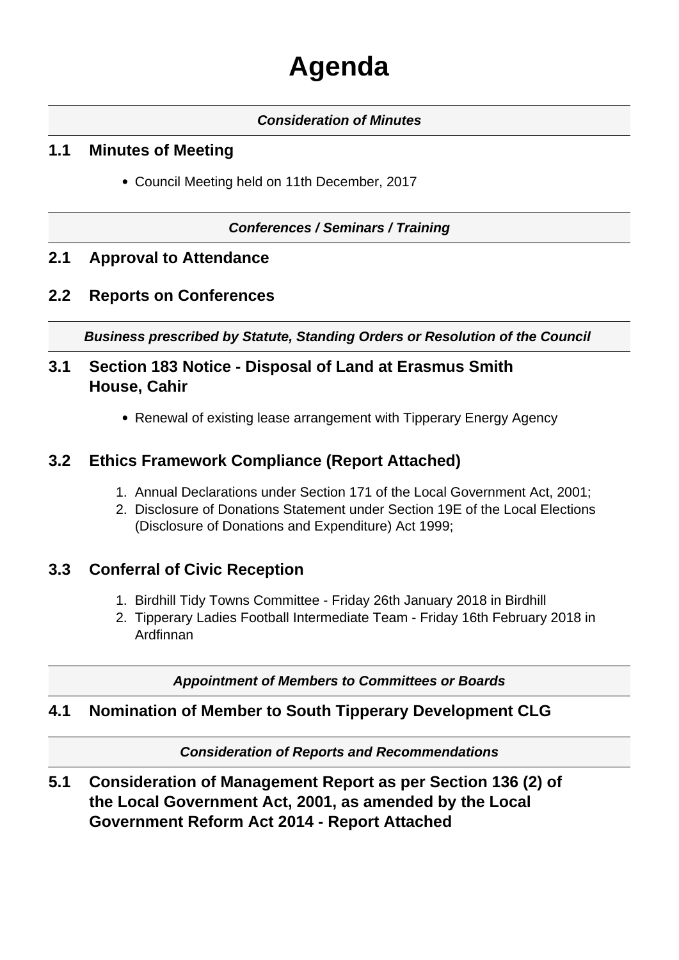# **Agenda**

### **Consideration of Minutes**

## **1.1 Minutes of Meeting**

Council Meeting held on 11th December, 2017

#### **Conferences / Seminars / Training**

## **2.1 Approval to Attendance**

## **2.2 Reports on Conferences**

**Business prescribed by Statute, Standing Orders or Resolution of the Council** 

## **3.1 Section 183 Notice - Disposal of Land at Erasmus Smith House, Cahir**

Renewal of existing lease arrangement with Tipperary Energy Agency

## **3.2 Ethics Framework Compliance (Report Attached)**

- 1. Annual Declarations under Section 171 of the Local Government Act, 2001;
- 2. Disclosure of Donations Statement under Section 19E of the Local Elections (Disclosure of Donations and Expenditure) Act 1999;

## **3.3 Conferral of Civic Reception**

- 1. Birdhill Tidy Towns Committee Friday 26th January 2018 in Birdhill
- 2. Tipperary Ladies Football Intermediate Team Friday 16th February 2018 in Ardfinnan

**Appointment of Members to Committees or Boards**

#### **4.1 Nomination of Member to South Tipperary Development CLG**

**Consideration of Reports and Recommendations**

**5.1 Consideration of Management Report as per Section 136 (2) of the Local Government Act, 2001, as amended by the Local Government Reform Act 2014 - Report Attached**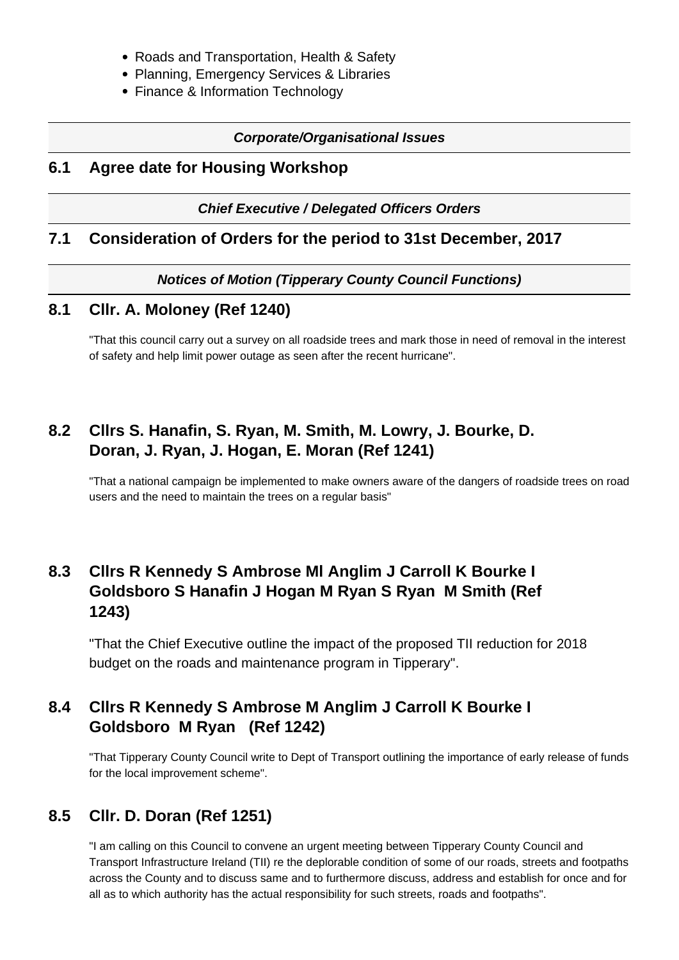- Roads and Transportation, Health & Safety
- Planning, Emergency Services & Libraries
- Finance & Information Technology

#### **Corporate/Organisational Issues**

### **6.1 Agree date for Housing Workshop**

**Chief Executive / Delegated Officers Orders**

#### **7.1 Consideration of Orders for the period to 31st December, 2017**

**Notices of Motion (Tipperary County Council Functions)**

#### **8.1 Cllr. A. Moloney (Ref 1240)**

"That this council carry out a survey on all roadside trees and mark those in need of removal in the interest of safety and help limit power outage as seen after the recent hurricane".

# **8.2 Cllrs S. Hanafin, S. Ryan, M. Smith, M. Lowry, J. Bourke, D. Doran, J. Ryan, J. Hogan, E. Moran (Ref 1241)**

"That a national campaign be implemented to make owners aware of the dangers of roadside trees on road users and the need to maintain the trees on a regular basis"

# **8.3 Cllrs R Kennedy S Ambrose Ml Anglim J Carroll K Bourke I Goldsboro S Hanafin J Hogan M Ryan S Ryan M Smith (Ref 1243)**

"That the Chief Executive outline the impact of the proposed TII reduction for 2018 budget on the roads and maintenance program in Tipperary".

# **8.4 Cllrs R Kennedy S Ambrose M Anglim J Carroll K Bourke I Goldsboro M Ryan (Ref 1242)**

"That Tipperary County Council write to Dept of Transport outlining the importance of early release of funds for the local improvement scheme".

# **8.5 Cllr. D. Doran (Ref 1251)**

"I am calling on this Council to convene an urgent meeting between Tipperary County Council and Transport Infrastructure Ireland (TII) re the deplorable condition of some of our roads, streets and footpaths across the County and to discuss same and to furthermore discuss, address and establish for once and for all as to which authority has the actual responsibility for such streets, roads and footpaths".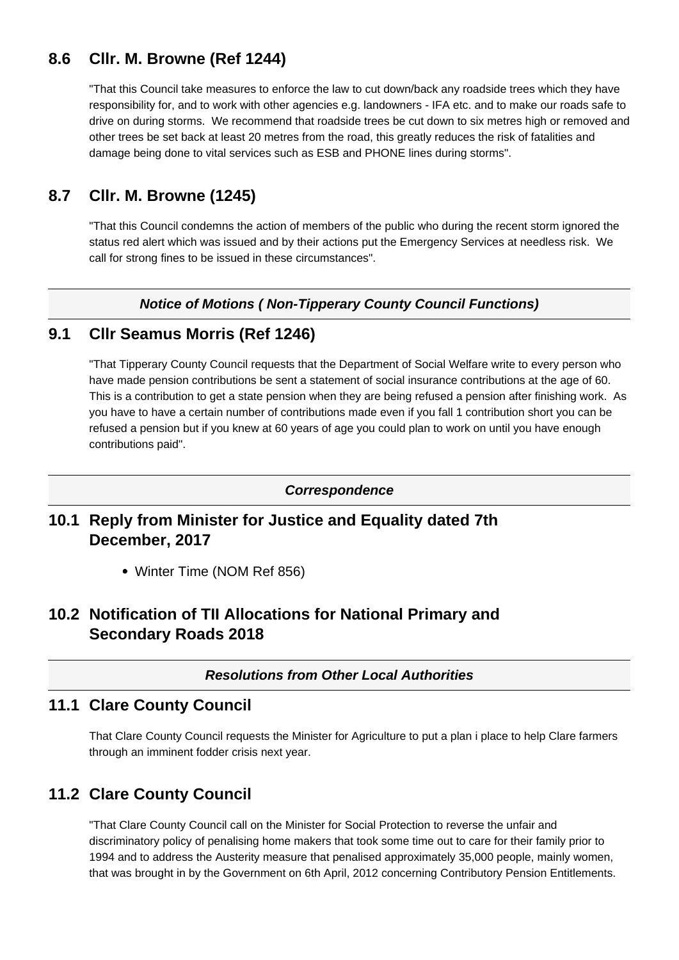# **8.6 Cllr. M. Browne (Ref 1244)**

"That this Council take measures to enforce the law to cut down/back any roadside trees which they have responsibility for, and to work with other agencies e.g. landowners - IFA etc. and to make our roads safe to drive on during storms. We recommend that roadside trees be cut down to six metres high or removed and other trees be set back at least 20 metres from the road, this greatly reduces the risk of fatalities and damage being done to vital services such as ESB and PHONE lines during storms".

# **8.7 Cllr. M. Browne (1245)**

"That this Council condemns the action of members of the public who during the recent storm ignored the status red alert which was issued and by their actions put the Emergency Services at needless risk. We call for strong fines to be issued in these circumstances".

#### **Notice of Motions ( Non-Tipperary County Council Functions)**

## **9.1 Cllr Seamus Morris (Ref 1246)**

"That Tipperary County Council requests that the Department of Social Welfare write to every person who have made pension contributions be sent a statement of social insurance contributions at the age of 60. This is a contribution to get a state pension when they are being refused a pension after finishing work. As you have to have a certain number of contributions made even if you fall 1 contribution short you can be refused a pension but if you knew at 60 years of age you could plan to work on until you have enough contributions paid".

#### **Correspondence**

## **10.1 Reply from Minister for Justice and Equality dated 7th December, 2017**

Winter Time (NOM Ref 856)

# **10.2 Notification of TII Allocations for National Primary and Secondary Roads 2018**

#### **Resolutions from Other Local Authorities**

#### **11.1 Clare County Council**

That Clare County Council requests the Minister for Agriculture to put a plan i place to help Clare farmers through an imminent fodder crisis next year.

# **11.2 Clare County Council**

"That Clare County Council call on the Minister for Social Protection to reverse the unfair and discriminatory policy of penalising home makers that took some time out to care for their family prior to 1994 and to address the Austerity measure that penalised approximately 35,000 people, mainly women, that was brought in by the Government on 6th April, 2012 concerning Contributory Pension Entitlements.